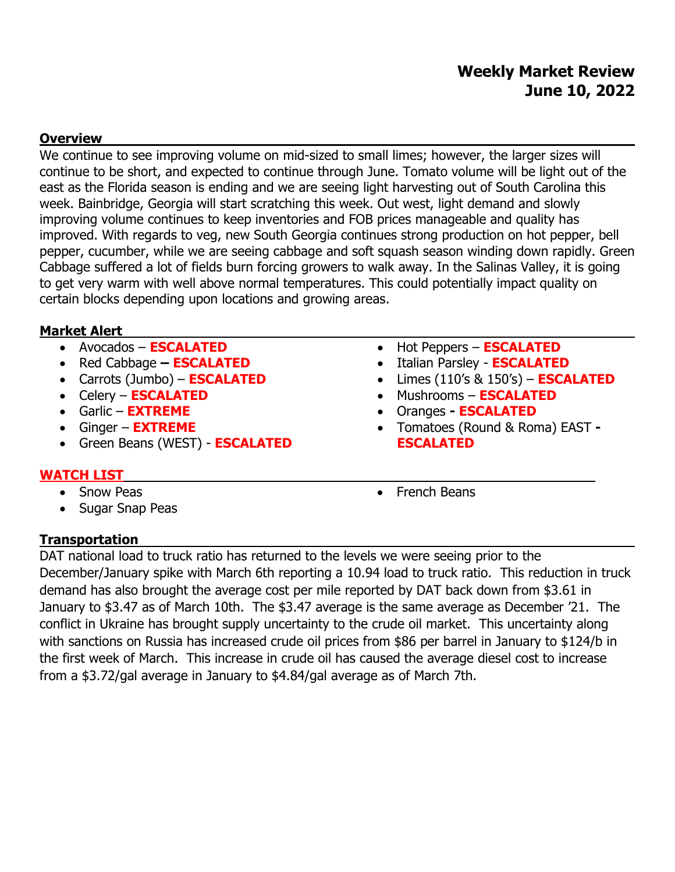# **Weekly Market Review June 10, 2022**

### **Overview**

We continue to see improving volume on mid-sized to small limes; however, the larger sizes will continue to be short, and expected to continue through June. Tomato volume will be light out of the east as the Florida season is ending and we are seeing light harvesting out of South Carolina this week. Bainbridge, Georgia will start scratching this week. Out west, light demand and slowly improving volume continues to keep inventories and FOB prices manageable and quality has improved. With regards to veg, new South Georgia continues strong production on hot pepper, bell pepper, cucumber, while we are seeing cabbage and soft squash season winding down rapidly. Green Cabbage suffered a lot of fields burn forcing growers to walk away. In the Salinas Valley, it is going to get very warm with well above normal temperatures. This could potentially impact quality on certain blocks depending upon locations and growing areas.

### **Market Alert**

- Avocados **ESCALATED**
- Red Cabbage **– ESCALATED**
- Carrots (Jumbo) **ESCALATED**
- Celery **ESCALATED**
- Garlic **EXTREME**
- Ginger **EXTREME**
- Green Beans (WEST) **ESCALATED**
- Hot Peppers **ESCALATED**
- Italian Parsley **ESCALATED**
- Limes (110's & 150's) **ESCALATED**
- Mushrooms **ESCALATED**
- Oranges **- ESCALATED**
- Tomatoes (Round & Roma) EAST **- ESCALATED**

# **WATCH LIST**

- Snow Peas
- Sugar Snap Peas

• French Beans

## **Transportation**

DAT national load to truck ratio has returned to the levels we were seeing prior to the December/January spike with March 6th reporting a 10.94 load to truck ratio. This reduction in truck demand has also brought the average cost per mile reported by DAT back down from \$3.61 in January to \$3.47 as of March 10th. The \$3.47 average is the same average as December '21. The conflict in Ukraine has brought supply uncertainty to the crude oil market. This uncertainty along with sanctions on Russia has increased crude oil prices from \$86 per barrel in January to \$124/b in the first week of March. This increase in crude oil has caused the average diesel cost to increase from a \$3.72/gal average in January to \$4.84/gal average as of March 7th.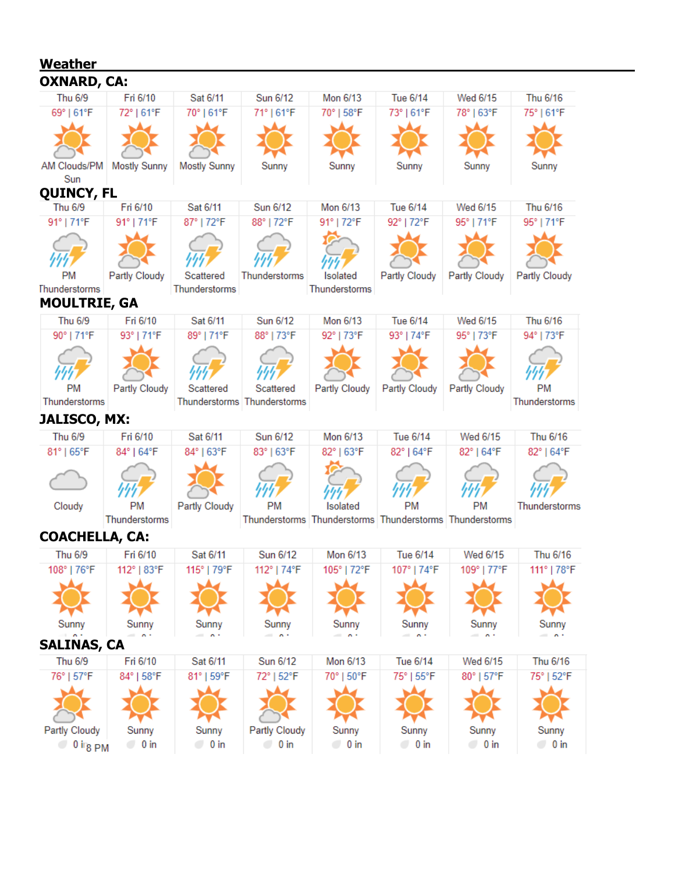| <u>Weather</u>                    |                       |                       |                               |                       |                                                                      |                       |                       |
|-----------------------------------|-----------------------|-----------------------|-------------------------------|-----------------------|----------------------------------------------------------------------|-----------------------|-----------------------|
| <b>OXNARD, CA:</b>                |                       |                       |                               |                       |                                                                      |                       |                       |
| Thu 6/9                           | Fri 6/10              | Sat 6/11              | Sun 6/12                      | Mon 6/13              | Tue 6/14                                                             | Wed 6/15              | Thu 6/16              |
| 69°   61°F                        | 72°   61°F            | 70°   61°F            | 71°   61°F                    | 70°   58°F            | 73°   61°F                                                           | 78°   63°F            | 75°   61°F            |
|                                   |                       |                       |                               |                       |                                                                      |                       |                       |
|                                   |                       |                       |                               |                       |                                                                      |                       |                       |
| AM Clouds/PM                      | <b>Mostly Sunny</b>   | <b>Mostly Sunny</b>   | Sunny                         | Sunny                 | Sunny                                                                | Sunny                 | Sunny                 |
| Sun                               |                       |                       |                               |                       |                                                                      |                       |                       |
| <b>QUINCY, FL</b>                 |                       |                       |                               |                       |                                                                      |                       |                       |
| Thu 6/9                           | Fri 6/10              | Sat 6/11              | Sun 6/12                      | Mon 6/13              | Tue 6/14                                                             | Wed 6/15              | Thu 6/16              |
| 91°   71°F                        | 91°   71°F            | 87°   72°F            | 88°   72°F                    | 91°   72°F            | 92°   72°F                                                           | 95°   71°F            | 95°   71°F            |
|                                   |                       |                       |                               |                       |                                                                      |                       |                       |
|                                   |                       |                       |                               |                       |                                                                      |                       |                       |
| РM                                | Partly Cloudy         | Scattered             | Thunderstorms                 | Isolated              | Partly Cloudy                                                        | Partly Cloudy         | Partly Cloudy         |
| Thunderstorms                     |                       | Thunderstorms         |                               | Thunderstorms         |                                                                      |                       |                       |
| <b>MOULTRIE, GA</b>               |                       |                       |                               |                       |                                                                      |                       |                       |
| Thu 6/9                           | Fri 6/10              | Sat 6/11              | Sun 6/12                      | Mon 6/13              | Tue 6/14                                                             | Wed 6/15              | Thu 6/16              |
| 90°   71°F                        | 93°   71°F            | 89°   71°F            | 88°   73°F                    | 92°   73°F            | 93°   74°F                                                           | 95°   73°F            | 94°   73°F            |
|                                   |                       |                       |                               |                       |                                                                      |                       |                       |
|                                   |                       |                       |                               |                       |                                                                      |                       |                       |
| РM                                | Partly Cloudy         | Scattered             | Scattered                     | Partly Cloudy         | Partly Cloudy                                                        | Partly Cloudy         | <b>PM</b>             |
| Thunderstorms                     |                       |                       | Thunderstorms Thunderstorms   |                       |                                                                      |                       | Thunderstorms         |
| <b>JALISCO, MX:</b>               |                       |                       |                               |                       |                                                                      |                       |                       |
| Thu 6/9                           | Fri 6/10              | Sat 6/11              | Sun 6/12                      | Mon 6/13              | Tue 6/14                                                             | Wed 6/15              | Thu 6/16              |
| 81°   65°F                        | 84°   64°F            | 84°   63°F            | 83°   63°F                    | 82°   63°F            | 82°   64°F                                                           | 82°   64°F            | 82°   64°F            |
|                                   |                       |                       |                               |                       |                                                                      |                       |                       |
|                                   |                       |                       |                               |                       |                                                                      |                       |                       |
|                                   |                       |                       |                               |                       |                                                                      |                       |                       |
| Cloudy                            | PM<br>Thunderstorms   | <b>Partly Cloudy</b>  | PM                            | Isolated              | <b>PM</b><br>Thunderstorms Thunderstorms Thunderstorms Thunderstorms | <b>PM</b>             | Thunderstorms         |
|                                   |                       |                       |                               |                       |                                                                      |                       |                       |
| <b>COACHELLA, CA:</b>             |                       |                       |                               |                       |                                                                      |                       |                       |
|                                   | Thu 6/9    Fri 6/10   | Sat 6/11              | Sun 6/12                      | Mon 6/13              | Tue 6/14                                                             | Wed 6/15              | Thu 6/16              |
| 108°   76°F                       | 112°   83°F           | 115°   79°F           | 112°   74°F                   | 105°   72°F           | 107°   74°F                                                          | 109°   77°F           | 111°   78°F           |
|                                   |                       |                       |                               |                       |                                                                      |                       |                       |
|                                   |                       |                       |                               |                       |                                                                      |                       |                       |
| Sunny                             | Sunny                 | Sunny                 | Sunny                         | Sunny                 | Sunny                                                                | Sunny                 | Sunny                 |
| i i wild<br><b>SALINAS, CA</b>    | $=$ $-$               | $\sim$ $\sim$         | $ -$                          | $  -$                 | $=$ $\sim$                                                           | $\sim$ $\sim$         | $=$ $-$               |
| Thu 6/9                           | Fri 6/10              | Sat 6/11              | Sun 6/12                      | Mon 6/13              | Tue 6/14                                                             | Wed 6/15              | Thu 6/16              |
| 76°   57°F                        | 84°   58°F            | 81°   59°F            | 72°   52°F                    | 70°   50°F            | 75°   55°F                                                           | 80°   57°F            | 75°   52°F            |
|                                   |                       |                       |                               |                       |                                                                      |                       |                       |
|                                   |                       |                       |                               |                       |                                                                      |                       |                       |
|                                   |                       |                       |                               |                       |                                                                      |                       |                       |
|                                   |                       |                       |                               |                       |                                                                      |                       |                       |
| Partly Cloudy<br>$\circ$ 0 irg PM | Sunny<br>$\circ$ 0 in | Sunny<br>$\circ$ 0 in | Partly Cloudy<br>$\circ$ 0 in | Sunny<br>$\circ$ 0 in | Sunny<br>$\circ$ 0 in                                                | Sunny<br>$\circ$ 0 in | Sunny<br>$\circ$ 0 in |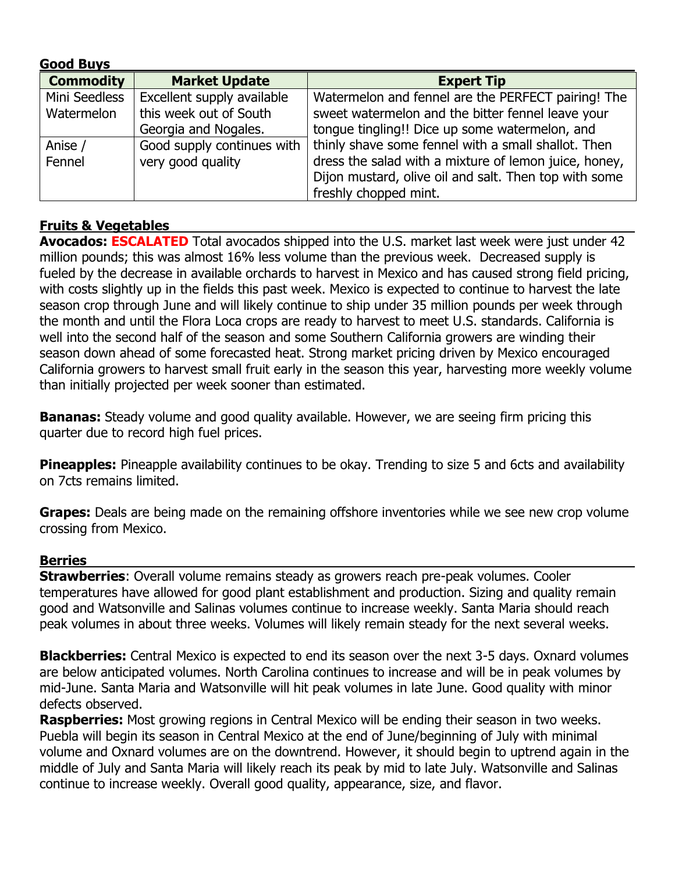| <b>Good Buys</b> |                            |                                                       |  |  |  |  |
|------------------|----------------------------|-------------------------------------------------------|--|--|--|--|
| <b>Commodity</b> | <b>Market Update</b>       | <b>Expert Tip</b>                                     |  |  |  |  |
| Mini Seedless    | Excellent supply available | Watermelon and fennel are the PERFECT pairing! The    |  |  |  |  |
| Watermelon       | this week out of South     | sweet watermelon and the bitter fennel leave your     |  |  |  |  |
|                  | Georgia and Nogales.       | tongue tingling!! Dice up some watermelon, and        |  |  |  |  |
| Anise /          | Good supply continues with | thinly shave some fennel with a small shallot. Then   |  |  |  |  |
| Fennel           | very good quality          | dress the salad with a mixture of lemon juice, honey, |  |  |  |  |
|                  |                            | Dijon mustard, olive oil and salt. Then top with some |  |  |  |  |
|                  |                            | freshly chopped mint.                                 |  |  |  |  |

## **Fruits & Vegetables**

Avocados: **ESCALATED** Total avocados shipped into the U.S. market last week were just under 42 million pounds; this was almost 16% less volume than the previous week. Decreased supply is fueled by the decrease in available orchards to harvest in Mexico and has caused strong field pricing, with costs slightly up in the fields this past week. Mexico is expected to continue to harvest the late season crop through June and will likely continue to ship under 35 million pounds per week through the month and until the Flora Loca crops are ready to harvest to meet U.S. standards. California is well into the second half of the season and some Southern California growers are winding their season down ahead of some forecasted heat. Strong market pricing driven by Mexico encouraged California growers to harvest small fruit early in the season this year, harvesting more weekly volume than initially projected per week sooner than estimated.

**Bananas:** Steady volume and good quality available. However, we are seeing firm pricing this quarter due to record high fuel prices.

**Pineapples:** Pineapple availability continues to be okay. Trending to size 5 and 6cts and availability on 7cts remains limited.

**Grapes:** Deals are being made on the remaining offshore inventories while we see new crop volume crossing from Mexico.

### **Berries**

**Strawberries**: Overall volume remains steady as growers reach pre-peak volumes. Cooler temperatures have allowed for good plant establishment and production. Sizing and quality remain good and Watsonville and Salinas volumes continue to increase weekly. Santa Maria should reach peak volumes in about three weeks. Volumes will likely remain steady for the next several weeks.

**Blackberries:** Central Mexico is expected to end its season over the next 3-5 days. Oxnard volumes are below anticipated volumes. North Carolina continues to increase and will be in peak volumes by mid-June. Santa Maria and Watsonville will hit peak volumes in late June. Good quality with minor defects observed.

**Raspberries:** Most growing regions in Central Mexico will be ending their season in two weeks. Puebla will begin its season in Central Mexico at the end of June/beginning of July with minimal volume and Oxnard volumes are on the downtrend. However, it should begin to uptrend again in the middle of July and Santa Maria will likely reach its peak by mid to late July. Watsonville and Salinas continue to increase weekly. Overall good quality, appearance, size, and flavor.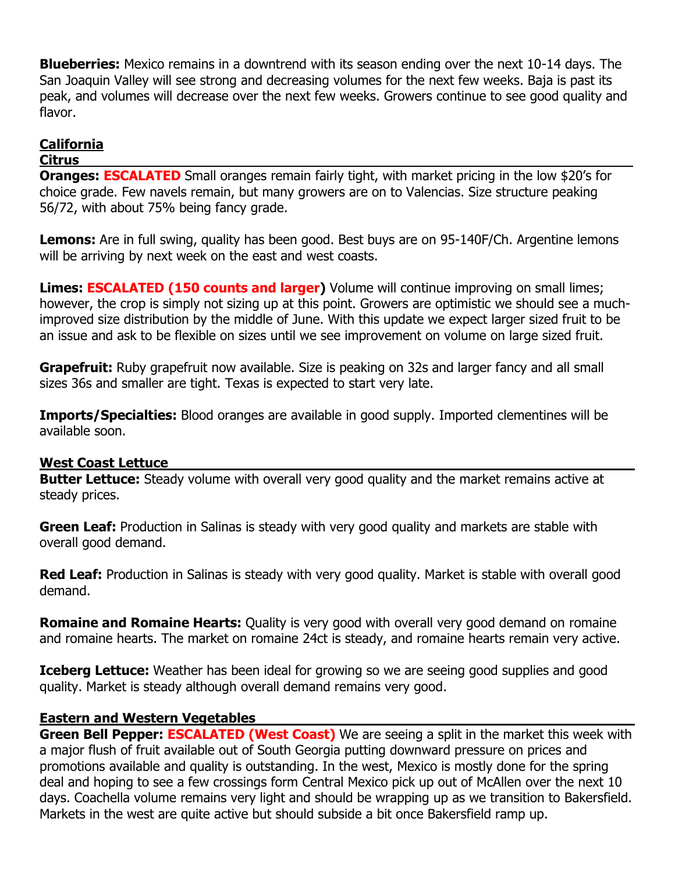**Blueberries:** Mexico remains in a downtrend with its season ending over the next 10-14 days. The San Joaquin Valley will see strong and decreasing volumes for the next few weeks. Baja is past its peak, and volumes will decrease over the next few weeks. Growers continue to see good quality and flavor.

# **California**

#### **Citrus**

**Oranges: ESCALATED** Small oranges remain fairly tight, with market pricing in the low \$20's for choice grade. Few navels remain, but many growers are on to Valencias. Size structure peaking 56/72, with about 75% being fancy grade.

**Lemons:** Are in full swing, quality has been good. Best buys are on 95-140F/Ch. Argentine lemons will be arriving by next week on the east and west coasts.

**Limes: ESCALATED (150 counts and larger)** Volume will continue improving on small limes; however, the crop is simply not sizing up at this point. Growers are optimistic we should see a muchimproved size distribution by the middle of June. With this update we expect larger sized fruit to be an issue and ask to be flexible on sizes until we see improvement on volume on large sized fruit.

**Grapefruit:** Ruby grapefruit now available. Size is peaking on 32s and larger fancy and all small sizes 36s and smaller are tight. Texas is expected to start very late.

**Imports/Specialties:** Blood oranges are available in good supply. Imported clementines will be available soon.

#### **West Coast Lettuce**

**Butter Lettuce:** Steady volume with overall very good quality and the market remains active at steady prices.

**Green Leaf:** Production in Salinas is steady with very good quality and markets are stable with overall good demand.

**Red Leaf:** Production in Salinas is steady with very good quality. Market is stable with overall good demand.

**Romaine and Romaine Hearts:** Quality is very good with overall very good demand on romaine and romaine hearts. The market on romaine 24ct is steady, and romaine hearts remain very active.

**Iceberg Lettuce:** Weather has been ideal for growing so we are seeing good supplies and good quality. Market is steady although overall demand remains very good.

### **Eastern and Western Vegetables**

**Green Bell Pepper: ESCALATED (West Coast)** We are seeing a split in the market this week with a major flush of fruit available out of South Georgia putting downward pressure on prices and promotions available and quality is outstanding. In the west, Mexico is mostly done for the spring deal and hoping to see a few crossings form Central Mexico pick up out of McAllen over the next 10 days. Coachella volume remains very light and should be wrapping up as we transition to Bakersfield. Markets in the west are quite active but should subside a bit once Bakersfield ramp up.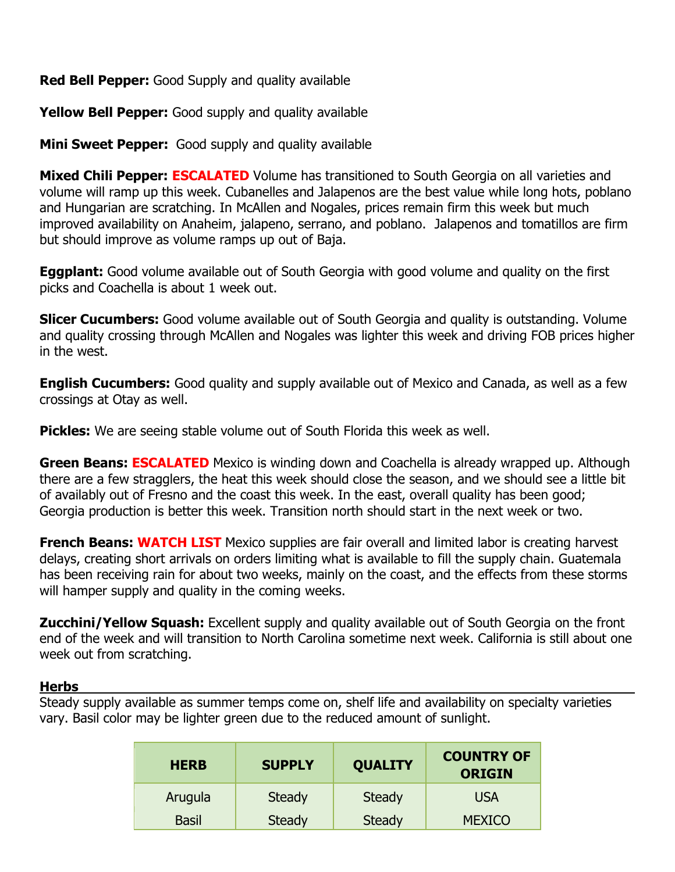**Red Bell Pepper:** Good Supply and quality available

**Yellow Bell Pepper:** Good supply and quality available

**Mini Sweet Pepper:** Good supply and quality available

**Mixed Chili Pepper: ESCALATED** Volume has transitioned to South Georgia on all varieties and volume will ramp up this week. Cubanelles and Jalapenos are the best value while long hots, poblano and Hungarian are scratching. In McAllen and Nogales, prices remain firm this week but much improved availability on Anaheim, jalapeno, serrano, and poblano. Jalapenos and tomatillos are firm but should improve as volume ramps up out of Baja.

**Eggplant:** Good volume available out of South Georgia with good volume and quality on the first picks and Coachella is about 1 week out.

**Slicer Cucumbers:** Good volume available out of South Georgia and quality is outstanding. Volume and quality crossing through McAllen and Nogales was lighter this week and driving FOB prices higher in the west.

**English Cucumbers:** Good quality and supply available out of Mexico and Canada, as well as a few crossings at Otay as well.

**Pickles:** We are seeing stable volume out of South Florida this week as well.

**Green Beans: ESCALATED** Mexico is winding down and Coachella is already wrapped up. Although there are a few stragglers, the heat this week should close the season, and we should see a little bit of availably out of Fresno and the coast this week. In the east, overall quality has been good; Georgia production is better this week. Transition north should start in the next week or two.

**French Beans: WATCH LIST** Mexico supplies are fair overall and limited labor is creating harvest delays, creating short arrivals on orders limiting what is available to fill the supply chain. Guatemala has been receiving rain for about two weeks, mainly on the coast, and the effects from these storms will hamper supply and quality in the coming weeks.

**Zucchini/Yellow Squash:** Excellent supply and quality available out of South Georgia on the front end of the week and will transition to North Carolina sometime next week. California is still about one week out from scratching.

### **Herbs**

Steady supply available as summer temps come on, shelf life and availability on specialty varieties vary. Basil color may be lighter green due to the reduced amount of sunlight.

| <b>HERB</b>  | <b>SUPPLY</b> | <b>QUALITY</b> | <b>COUNTRY OF</b><br><b>ORIGIN</b> |  |
|--------------|---------------|----------------|------------------------------------|--|
| Arugula      | <b>Steady</b> | Steady         | <b>USA</b>                         |  |
| <b>Basil</b> | <b>Steady</b> | <b>Steady</b>  | <b>MEXICO</b>                      |  |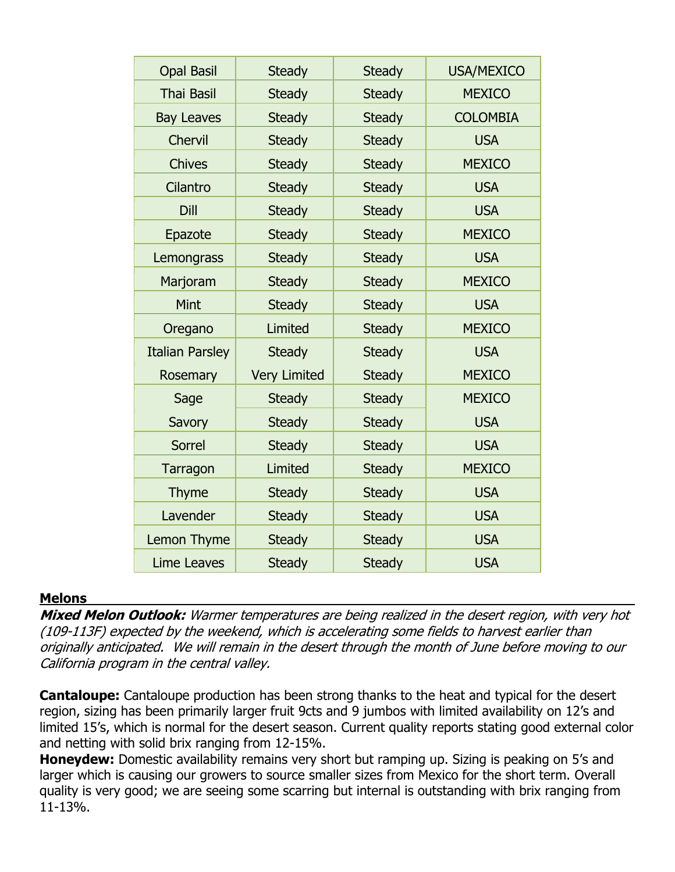| <b>Opal Basil</b>      | <b>Steady</b>       | <b>Steady</b> | <b>USA/MEXICO</b> |
|------------------------|---------------------|---------------|-------------------|
| <b>Thai Basil</b>      | <b>Steady</b>       | <b>Steady</b> | <b>MEXICO</b>     |
| <b>Bay Leaves</b>      | <b>Steady</b>       | <b>Steady</b> | <b>COLOMBIA</b>   |
| <b>Chervil</b>         | <b>Steady</b>       | <b>Steady</b> | <b>USA</b>        |
| <b>Chives</b>          | <b>Steady</b>       | <b>Steady</b> | <b>MEXICO</b>     |
| Cilantro               | <b>Steady</b>       | <b>Steady</b> | <b>USA</b>        |
| Dill                   | <b>Steady</b>       | <b>Steady</b> | <b>USA</b>        |
| Epazote                | <b>Steady</b>       | <b>Steady</b> | <b>MEXICO</b>     |
| Lemongrass             | <b>Steady</b>       | <b>Steady</b> | <b>USA</b>        |
| Marjoram               | <b>Steady</b>       | <b>Steady</b> | <b>MEXICO</b>     |
| Mint                   | <b>Steady</b>       | <b>Steady</b> | <b>USA</b>        |
| Oregano                | Limited             | <b>Steady</b> | <b>MEXICO</b>     |
| <b>Italian Parsley</b> | <b>Steady</b>       | <b>Steady</b> | <b>USA</b>        |
| Rosemary               | <b>Very Limited</b> | <b>Steady</b> | <b>MEXICO</b>     |
| Sage                   | <b>Steady</b>       | <b>Steady</b> | <b>MEXICO</b>     |
| Savory                 | <b>Steady</b>       | <b>Steady</b> | <b>USA</b>        |
| Sorrel                 | <b>Steady</b>       | <b>Steady</b> | <b>USA</b>        |
| Tarragon               | Limited             | <b>Steady</b> | <b>MEXICO</b>     |
| <b>Thyme</b>           | <b>Steady</b>       | <b>Steady</b> | <b>USA</b>        |
| Lavender               | <b>Steady</b>       | <b>Steady</b> | <b>USA</b>        |
| Lemon Thyme            | <b>Steady</b>       | <b>Steady</b> | <b>USA</b>        |
| <b>Lime Leaves</b>     | <b>Steady</b>       | <b>Steady</b> | <b>USA</b>        |
|                        |                     |               |                   |

#### **Melons**

**Mixed Melon Outlook:** Warmer temperatures are being realized in the desert region, with very hot (109-113F) expected by the weekend, which is accelerating some fields to harvest earlier than originally anticipated. We will remain in the desert through the month of June before moving to our California program in the central valley.

**Cantaloupe:** Cantaloupe production has been strong thanks to the heat and typical for the desert region, sizing has been primarily larger fruit 9cts and 9 jumbos with limited availability on 12's and limited 15's, which is normal for the desert season. Current quality reports stating good external color and netting with solid brix ranging from 12-15%.

**Honeydew:** Domestic availability remains very short but ramping up. Sizing is peaking on 5's and larger which is causing our growers to source smaller sizes from Mexico for the short term. Overall quality is very good; we are seeing some scarring but internal is outstanding with brix ranging from 11-13%.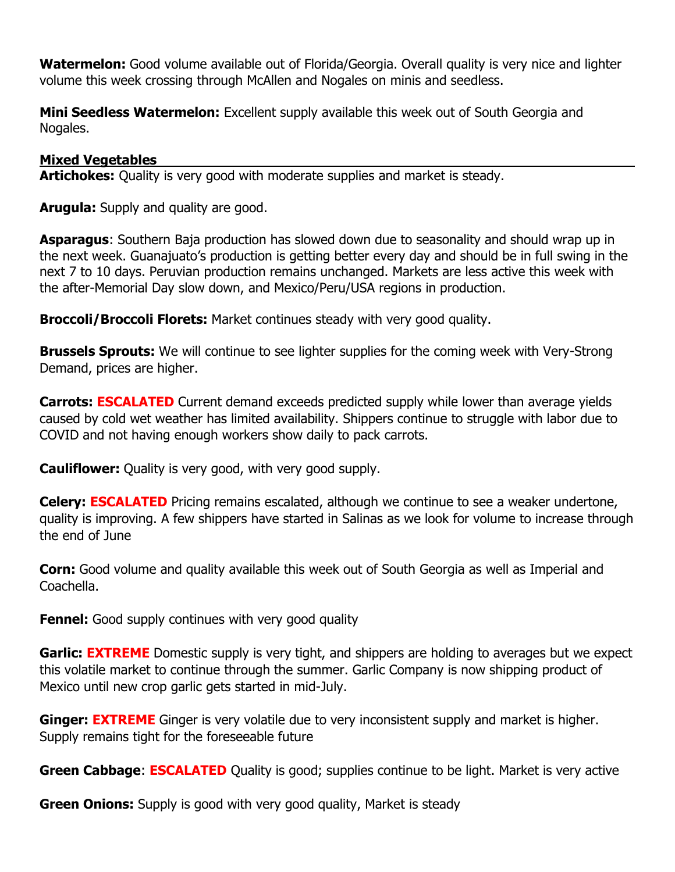**Watermelon:** Good volume available out of Florida/Georgia. Overall quality is very nice and lighter volume this week crossing through McAllen and Nogales on minis and seedless.

**Mini Seedless Watermelon:** Excellent supply available this week out of South Georgia and Nogales.

#### **Mixed Vegetables**

**Artichokes:** Quality is very good with moderate supplies and market is steady.

**Arugula:** Supply and quality are good.

**Asparagus**: Southern Baja production has slowed down due to seasonality and should wrap up in the next week. Guanajuato's production is getting better every day and should be in full swing in the next 7 to 10 days. Peruvian production remains unchanged. Markets are less active this week with the after-Memorial Day slow down, and Mexico/Peru/USA regions in production.

**Broccoli/Broccoli Florets:** Market continues steady with very good quality.

**Brussels Sprouts:** We will continue to see lighter supplies for the coming week with Very-Strong Demand, prices are higher.

**Carrots: ESCALATED** Current demand exceeds predicted supply while lower than average yields caused by cold wet weather has limited availability. Shippers continue to struggle with labor due to COVID and not having enough workers show daily to pack carrots.

**Cauliflower:** Quality is very good, with very good supply.

**Celery: ESCALATED** Pricing remains escalated, although we continue to see a weaker undertone, quality is improving. A few shippers have started in Salinas as we look for volume to increase through the end of June

**Corn:** Good volume and quality available this week out of South Georgia as well as Imperial and Coachella.

**Fennel:** Good supply continues with very good quality

**Garlic: EXTREME** Domestic supply is very tight, and shippers are holding to averages but we expect this volatile market to continue through the summer. Garlic Company is now shipping product of Mexico until new crop garlic gets started in mid-July.

**Ginger: EXTREME** Ginger is very volatile due to very inconsistent supply and market is higher. Supply remains tight for the foreseeable future

**Green Cabbage: ESCALATED** Quality is good; supplies continue to be light. Market is very active

**Green Onions:** Supply is good with very good quality, Market is steady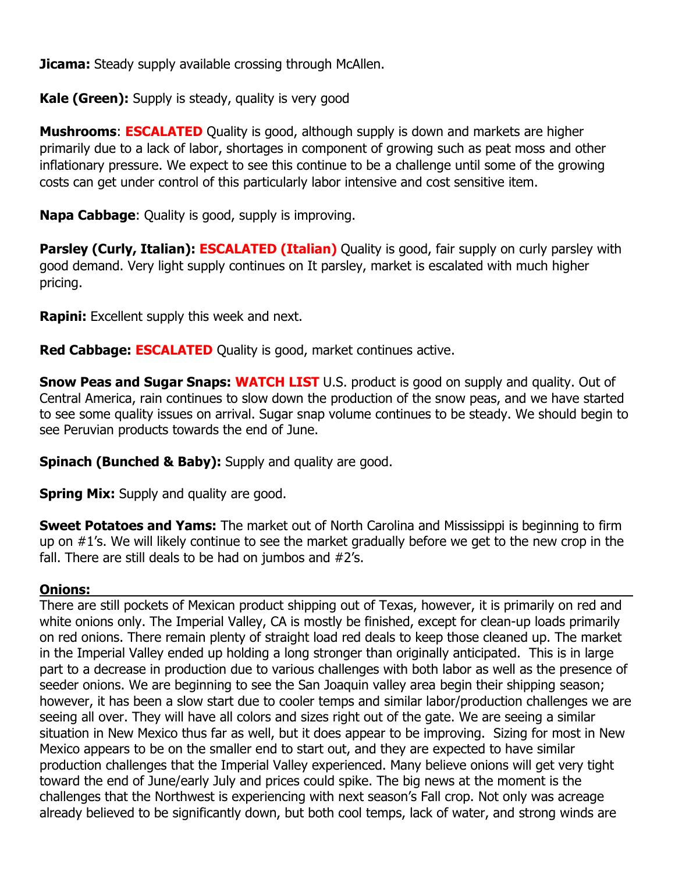**Jicama:** Steady supply available crossing through McAllen.

**Kale (Green):** Supply is steady, quality is very good

**Mushrooms: ESCALATED** Quality is good, although supply is down and markets are higher primarily due to a lack of labor, shortages in component of growing such as peat moss and other inflationary pressure. We expect to see this continue to be a challenge until some of the growing costs can get under control of this particularly labor intensive and cost sensitive item.

**Napa Cabbage**: Quality is good, supply is improving.

**Parsley (Curly, Italian): ESCALATED (Italian)** Quality is good, fair supply on curly parsley with good demand. Very light supply continues on It parsley, market is escalated with much higher pricing.

**Rapini:** Excellent supply this week and next.

**Red Cabbage: ESCALATED** Quality is good, market continues active.

**Snow Peas and Sugar Snaps: WATCH LIST** U.S. product is good on supply and quality. Out of Central America, rain continues to slow down the production of the snow peas, and we have started to see some quality issues on arrival. Sugar snap volume continues to be steady. We should begin to see Peruvian products towards the end of June.

**Spinach (Bunched & Baby):** Supply and quality are good.

**Spring Mix:** Supply and quality are good.

**Sweet Potatoes and Yams:** The market out of North Carolina and Mississippi is beginning to firm up on #1's. We will likely continue to see the market gradually before we get to the new crop in the fall. There are still deals to be had on jumbos and #2's.

### **Onions:**

There are still pockets of Mexican product shipping out of Texas, however, it is primarily on red and white onions only. The Imperial Valley, CA is mostly be finished, except for clean-up loads primarily on red onions. There remain plenty of straight load red deals to keep those cleaned up. The market in the Imperial Valley ended up holding a long stronger than originally anticipated. This is in large part to a decrease in production due to various challenges with both labor as well as the presence of seeder onions. We are beginning to see the San Joaquin valley area begin their shipping season; however, it has been a slow start due to cooler temps and similar labor/production challenges we are seeing all over. They will have all colors and sizes right out of the gate. We are seeing a similar situation in New Mexico thus far as well, but it does appear to be improving. Sizing for most in New Mexico appears to be on the smaller end to start out, and they are expected to have similar production challenges that the Imperial Valley experienced. Many believe onions will get very tight toward the end of June/early July and prices could spike. The big news at the moment is the challenges that the Northwest is experiencing with next season's Fall crop. Not only was acreage already believed to be significantly down, but both cool temps, lack of water, and strong winds are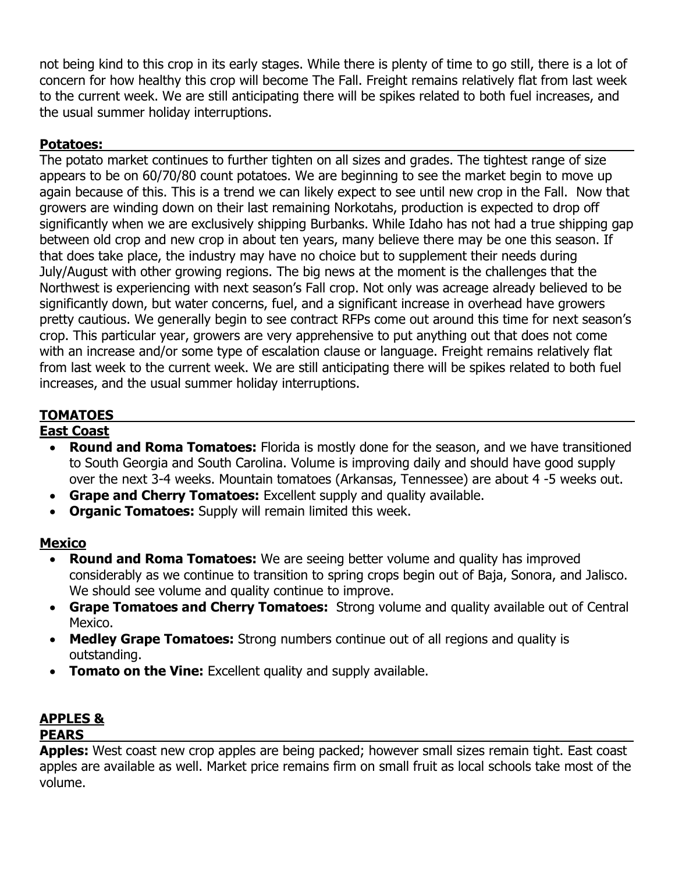not being kind to this crop in its early stages. While there is plenty of time to go still, there is a lot of concern for how healthy this crop will become The Fall. Freight remains relatively flat from last week to the current week. We are still anticipating there will be spikes related to both fuel increases, and the usual summer holiday interruptions.

# **Potatoes:**

The potato market continues to further tighten on all sizes and grades. The tightest range of size appears to be on 60/70/80 count potatoes. We are beginning to see the market begin to move up again because of this. This is a trend we can likely expect to see until new crop in the Fall. Now that growers are winding down on their last remaining Norkotahs, production is expected to drop off significantly when we are exclusively shipping Burbanks. While Idaho has not had a true shipping gap between old crop and new crop in about ten years, many believe there may be one this season. If that does take place, the industry may have no choice but to supplement their needs during July/August with other growing regions. The big news at the moment is the challenges that the Northwest is experiencing with next season's Fall crop. Not only was acreage already believed to be significantly down, but water concerns, fuel, and a significant increase in overhead have growers pretty cautious. We generally begin to see contract RFPs come out around this time for next season's crop. This particular year, growers are very apprehensive to put anything out that does not come with an increase and/or some type of escalation clause or language. Freight remains relatively flat from last week to the current week. We are still anticipating there will be spikes related to both fuel increases, and the usual summer holiday interruptions.

# **TOMATOES**

#### **East Coast**

- **Round and Roma Tomatoes:** Florida is mostly done for the season, and we have transitioned to South Georgia and South Carolina. Volume is improving daily and should have good supply over the next 3-4 weeks. Mountain tomatoes (Arkansas, Tennessee) are about 4 -5 weeks out.
- **Grape and Cherry Tomatoes:** Excellent supply and quality available.
- **Organic Tomatoes:** Supply will remain limited this week.

## **Mexico**

- **Round and Roma Tomatoes:** We are seeing better volume and quality has improved considerably as we continue to transition to spring crops begin out of Baja, Sonora, and Jalisco. We should see volume and quality continue to improve.
- **Grape Tomatoes and Cherry Tomatoes:** Strong volume and quality available out of Central Mexico.
- **Medley Grape Tomatoes:** Strong numbers continue out of all regions and quality is outstanding.
- **Tomato on the Vine:** Excellent quality and supply available.

#### **APPLES & PEARS**

**Apples:** West coast new crop apples are being packed; however small sizes remain tight. East coast apples are available as well. Market price remains firm on small fruit as local schools take most of the volume.